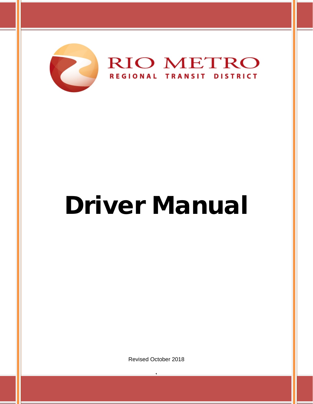

# Driver Manual

Revised October 2018

 $\frac{1}{1}$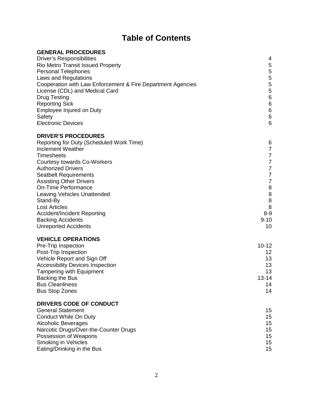## **Table of Contents**

| 4<br>5<br><b>Rio Metro Transit Issued Property</b><br>5<br>5<br>5<br>Cooperation with Law Enforcement & Fire Department Agencies<br>5<br>License (CDL) and Medical Card<br>$\,6$<br><b>Drug Testing</b><br>$\,6$<br><b>Reporting Sick</b><br>$\,6$<br>Employee Injured on Duty<br>$\,6$<br>Safety<br>6<br>Reporting for Duty (Scheduled Work Time)<br>6<br>$\overline{7}$<br>$\boldsymbol{7}$<br>$\overline{7}$<br><b>Courtesy towards Co-Workers</b><br>$\overline{7}$<br>$\overline{7}$<br><b>Seatbelt Requirements</b><br>$\overline{7}$<br><b>Assisting Other Drivers</b><br>8<br><b>On-Time Performance</b><br>$\bf 8$<br><b>Leaving Vehicles Unattended</b><br>$\,8\,$<br>Stand-By<br>8<br><b>Lost Articles</b><br>$8-9$<br><b>Accident/Incident Reporting</b><br>$9 - 10$<br><b>Backing Accidents</b><br>10<br>Pre-Trip Inspection<br>$10 - 12$<br>Post-Trip Inspection<br>12<br>Vehicle Report and Sign Off<br>13<br><b>Accessibility Devices Inspection</b><br>13<br>13<br><b>Tampering with Equipment</b><br>$13 - 14$<br>Backing the Bus<br>14<br>14<br>$15\,$<br>15<br>15<br>15<br>15<br>15<br>15 | <b>GENERAL PROCEDURES</b>             |  |
|---------------------------------------------------------------------------------------------------------------------------------------------------------------------------------------------------------------------------------------------------------------------------------------------------------------------------------------------------------------------------------------------------------------------------------------------------------------------------------------------------------------------------------------------------------------------------------------------------------------------------------------------------------------------------------------------------------------------------------------------------------------------------------------------------------------------------------------------------------------------------------------------------------------------------------------------------------------------------------------------------------------------------------------------------------------------------------------------------------------|---------------------------------------|--|
|                                                                                                                                                                                                                                                                                                                                                                                                                                                                                                                                                                                                                                                                                                                                                                                                                                                                                                                                                                                                                                                                                                               | <b>Driver's Responsibilities</b>      |  |
|                                                                                                                                                                                                                                                                                                                                                                                                                                                                                                                                                                                                                                                                                                                                                                                                                                                                                                                                                                                                                                                                                                               |                                       |  |
|                                                                                                                                                                                                                                                                                                                                                                                                                                                                                                                                                                                                                                                                                                                                                                                                                                                                                                                                                                                                                                                                                                               | <b>Personal Telephones</b>            |  |
|                                                                                                                                                                                                                                                                                                                                                                                                                                                                                                                                                                                                                                                                                                                                                                                                                                                                                                                                                                                                                                                                                                               | Laws and Regulations                  |  |
|                                                                                                                                                                                                                                                                                                                                                                                                                                                                                                                                                                                                                                                                                                                                                                                                                                                                                                                                                                                                                                                                                                               |                                       |  |
|                                                                                                                                                                                                                                                                                                                                                                                                                                                                                                                                                                                                                                                                                                                                                                                                                                                                                                                                                                                                                                                                                                               |                                       |  |
|                                                                                                                                                                                                                                                                                                                                                                                                                                                                                                                                                                                                                                                                                                                                                                                                                                                                                                                                                                                                                                                                                                               |                                       |  |
|                                                                                                                                                                                                                                                                                                                                                                                                                                                                                                                                                                                                                                                                                                                                                                                                                                                                                                                                                                                                                                                                                                               |                                       |  |
|                                                                                                                                                                                                                                                                                                                                                                                                                                                                                                                                                                                                                                                                                                                                                                                                                                                                                                                                                                                                                                                                                                               |                                       |  |
|                                                                                                                                                                                                                                                                                                                                                                                                                                                                                                                                                                                                                                                                                                                                                                                                                                                                                                                                                                                                                                                                                                               |                                       |  |
|                                                                                                                                                                                                                                                                                                                                                                                                                                                                                                                                                                                                                                                                                                                                                                                                                                                                                                                                                                                                                                                                                                               | <b>Electronic Devices</b>             |  |
|                                                                                                                                                                                                                                                                                                                                                                                                                                                                                                                                                                                                                                                                                                                                                                                                                                                                                                                                                                                                                                                                                                               | <b>DRIVER'S PROCEDURES</b>            |  |
|                                                                                                                                                                                                                                                                                                                                                                                                                                                                                                                                                                                                                                                                                                                                                                                                                                                                                                                                                                                                                                                                                                               |                                       |  |
|                                                                                                                                                                                                                                                                                                                                                                                                                                                                                                                                                                                                                                                                                                                                                                                                                                                                                                                                                                                                                                                                                                               | <b>Inclement Weather</b>              |  |
|                                                                                                                                                                                                                                                                                                                                                                                                                                                                                                                                                                                                                                                                                                                                                                                                                                                                                                                                                                                                                                                                                                               | <b>Timesheets</b>                     |  |
|                                                                                                                                                                                                                                                                                                                                                                                                                                                                                                                                                                                                                                                                                                                                                                                                                                                                                                                                                                                                                                                                                                               |                                       |  |
|                                                                                                                                                                                                                                                                                                                                                                                                                                                                                                                                                                                                                                                                                                                                                                                                                                                                                                                                                                                                                                                                                                               | <b>Authorized Drivers</b>             |  |
|                                                                                                                                                                                                                                                                                                                                                                                                                                                                                                                                                                                                                                                                                                                                                                                                                                                                                                                                                                                                                                                                                                               |                                       |  |
|                                                                                                                                                                                                                                                                                                                                                                                                                                                                                                                                                                                                                                                                                                                                                                                                                                                                                                                                                                                                                                                                                                               |                                       |  |
|                                                                                                                                                                                                                                                                                                                                                                                                                                                                                                                                                                                                                                                                                                                                                                                                                                                                                                                                                                                                                                                                                                               |                                       |  |
|                                                                                                                                                                                                                                                                                                                                                                                                                                                                                                                                                                                                                                                                                                                                                                                                                                                                                                                                                                                                                                                                                                               |                                       |  |
|                                                                                                                                                                                                                                                                                                                                                                                                                                                                                                                                                                                                                                                                                                                                                                                                                                                                                                                                                                                                                                                                                                               |                                       |  |
|                                                                                                                                                                                                                                                                                                                                                                                                                                                                                                                                                                                                                                                                                                                                                                                                                                                                                                                                                                                                                                                                                                               |                                       |  |
|                                                                                                                                                                                                                                                                                                                                                                                                                                                                                                                                                                                                                                                                                                                                                                                                                                                                                                                                                                                                                                                                                                               |                                       |  |
|                                                                                                                                                                                                                                                                                                                                                                                                                                                                                                                                                                                                                                                                                                                                                                                                                                                                                                                                                                                                                                                                                                               |                                       |  |
|                                                                                                                                                                                                                                                                                                                                                                                                                                                                                                                                                                                                                                                                                                                                                                                                                                                                                                                                                                                                                                                                                                               | <b>Unreported Accidents</b>           |  |
|                                                                                                                                                                                                                                                                                                                                                                                                                                                                                                                                                                                                                                                                                                                                                                                                                                                                                                                                                                                                                                                                                                               | <b>VEHICLE OPERATIONS</b>             |  |
|                                                                                                                                                                                                                                                                                                                                                                                                                                                                                                                                                                                                                                                                                                                                                                                                                                                                                                                                                                                                                                                                                                               |                                       |  |
|                                                                                                                                                                                                                                                                                                                                                                                                                                                                                                                                                                                                                                                                                                                                                                                                                                                                                                                                                                                                                                                                                                               |                                       |  |
|                                                                                                                                                                                                                                                                                                                                                                                                                                                                                                                                                                                                                                                                                                                                                                                                                                                                                                                                                                                                                                                                                                               |                                       |  |
|                                                                                                                                                                                                                                                                                                                                                                                                                                                                                                                                                                                                                                                                                                                                                                                                                                                                                                                                                                                                                                                                                                               |                                       |  |
|                                                                                                                                                                                                                                                                                                                                                                                                                                                                                                                                                                                                                                                                                                                                                                                                                                                                                                                                                                                                                                                                                                               |                                       |  |
|                                                                                                                                                                                                                                                                                                                                                                                                                                                                                                                                                                                                                                                                                                                                                                                                                                                                                                                                                                                                                                                                                                               |                                       |  |
|                                                                                                                                                                                                                                                                                                                                                                                                                                                                                                                                                                                                                                                                                                                                                                                                                                                                                                                                                                                                                                                                                                               | <b>Bus Cleanliness</b>                |  |
|                                                                                                                                                                                                                                                                                                                                                                                                                                                                                                                                                                                                                                                                                                                                                                                                                                                                                                                                                                                                                                                                                                               | <b>Bus Stop Zones</b>                 |  |
|                                                                                                                                                                                                                                                                                                                                                                                                                                                                                                                                                                                                                                                                                                                                                                                                                                                                                                                                                                                                                                                                                                               | DRIVERS CODE OF CONDUCT               |  |
|                                                                                                                                                                                                                                                                                                                                                                                                                                                                                                                                                                                                                                                                                                                                                                                                                                                                                                                                                                                                                                                                                                               | <b>General Statement</b>              |  |
|                                                                                                                                                                                                                                                                                                                                                                                                                                                                                                                                                                                                                                                                                                                                                                                                                                                                                                                                                                                                                                                                                                               | <b>Conduct While On Duty</b>          |  |
|                                                                                                                                                                                                                                                                                                                                                                                                                                                                                                                                                                                                                                                                                                                                                                                                                                                                                                                                                                                                                                                                                                               | <b>Alcoholic Beverages</b>            |  |
|                                                                                                                                                                                                                                                                                                                                                                                                                                                                                                                                                                                                                                                                                                                                                                                                                                                                                                                                                                                                                                                                                                               | Narcotic Drugs/Over-the-Counter Drugs |  |
|                                                                                                                                                                                                                                                                                                                                                                                                                                                                                                                                                                                                                                                                                                                                                                                                                                                                                                                                                                                                                                                                                                               | Possession of Weapons                 |  |
|                                                                                                                                                                                                                                                                                                                                                                                                                                                                                                                                                                                                                                                                                                                                                                                                                                                                                                                                                                                                                                                                                                               | <b>Smoking in Vehicles</b>            |  |
|                                                                                                                                                                                                                                                                                                                                                                                                                                                                                                                                                                                                                                                                                                                                                                                                                                                                                                                                                                                                                                                                                                               | Eating/Drinking in the Bus            |  |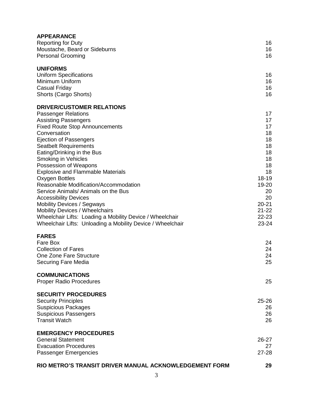| <b>APPEARANCE</b>                                          |           |
|------------------------------------------------------------|-----------|
| <b>Reporting for Duty</b>                                  | 16        |
| Moustache, Beard or Sideburns                              | 16        |
| <b>Personal Grooming</b>                                   | 16        |
|                                                            |           |
| <b>UNIFORMS</b>                                            |           |
| <b>Uniform Specifications</b>                              | 16        |
| Minimum Uniform                                            | 16        |
| Casual Friday                                              | 16        |
| Shorts (Cargo Shorts)                                      | 16        |
|                                                            |           |
| <b>DRIVER/CUSTOMER RELATIONS</b>                           |           |
| <b>Passenger Relations</b>                                 | 17        |
| <b>Assisting Passengers</b>                                | 17        |
| <b>Fixed Route Stop Announcements</b>                      | 17        |
| Conversation                                               | 18        |
| Ejection of Passengers                                     | 18        |
| <b>Seatbelt Requirements</b>                               | 18        |
| Eating/Drinking in the Bus                                 | 18        |
| Smoking in Vehicles                                        | 18        |
| Possession of Weapons                                      | 18        |
| <b>Explosive and Flammable Materials</b>                   | 18        |
| Oxygen Bottles                                             | 18-19     |
| Reasonable Modification/Accommodation                      | 19-20     |
| Service Animals/ Animals on the Bus                        | 20        |
| <b>Accessibility Devices</b>                               | 20        |
| <b>Mobility Devices / Segways</b>                          | $20 - 21$ |
| <b>Mobility Devices / Wheelchairs</b>                      | $21 - 22$ |
| Wheelchair Lifts: Loading a Mobility Device / Wheelchair   | 22-23     |
|                                                            | 23-24     |
| Wheelchair Lifts: Unloading a Mobility Device / Wheelchair |           |
| <b>FARES</b>                                               |           |
| Fare Box                                                   | 24        |
| <b>Collection of Fares</b>                                 | 24        |
| One Zone Fare Structure                                    | 24        |
| Securing Fare Media                                        | 25        |
|                                                            |           |
| <b>COMMUNICATIONS</b>                                      |           |
| <b>Proper Radio Procedures</b>                             | 25        |
|                                                            |           |
| <b>SECURITY PROCEDURES</b>                                 |           |
|                                                            | $25 - 26$ |
| <b>Security Principles</b>                                 |           |
| <b>Suspicious Packages</b>                                 | 26        |
| <b>Suspicious Passengers</b>                               | 26        |
| <b>Transit Watch</b>                                       | 26        |
|                                                            |           |
| <b>EMERGENCY PROCEDURES</b>                                |           |
| <b>General Statement</b>                                   | 26-27     |
| <b>Evacuation Procedures</b>                               | 27        |
| Passenger Emergencies                                      | 27-28     |
| RIO METRO'S TRANSIT DRIVER MANUAL ACKNOWLEDGEMENT FORM     | 29        |
|                                                            |           |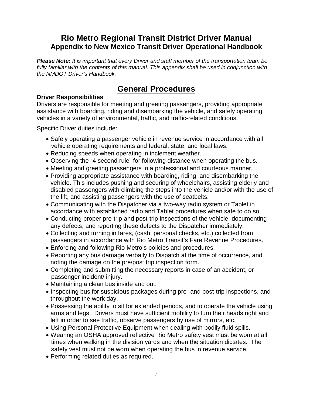## **Rio Metro Regional Transit District Driver Manual Appendix to New Mexico Transit Driver Operational Handbook**

*Please Note: It is important that every Driver and staff member of the transportation team be*  fully familiar with the contents of this manual. This appendix shall be used in conjunction with *the NMDOT Driver's Handbook.*

## **General Procedures**

#### **Driver Responsibilities**

Drivers are responsible for meeting and greeting passengers, providing appropriate assistance with boarding, riding and disembarking the vehicle, and safely operating vehicles in a variety of environmental, traffic, and traffic-related conditions.

Specific Driver duties include:

- Safely operating a passenger vehicle in revenue service in accordance with all vehicle operating requirements and federal, state, and local laws.
- Reducing speeds when operating in inclement weather.
- Observing the "4 second rule" for following distance when operating the bus.
- Meeting and greeting passengers in a professional and courteous manner.
- Providing appropriate assistance with boarding, riding, and disembarking the vehicle. This includes pushing and securing of wheelchairs, assisting elderly and disabled passengers with climbing the steps into the vehicle and/or with the use of the lift, and assisting passengers with the use of seatbelts.
- Communicating with the Dispatcher via a two-way radio system or Tablet in accordance with established radio and Tablet procedures when safe to do so.
- Conducting proper pre-trip and post-trip inspections of the vehicle, documenting any defects, and reporting these defects to the Dispatcher immediately.
- Collecting and turning in fares, (cash, personal checks, etc.) collected from passengers in accordance with Rio Metro Transit's Fare Revenue Procedures.
- Enforcing and following Rio Metro's policies and procedures.
- Reporting any bus damage verbally to Dispatch at the time of occurrence, and noting the damage on the pre/post trip inspection form.
- Completing and submitting the necessary reports in case of an accident, or passenger incident/ injury.
- Maintaining a clean bus inside and out.
- Inspecting bus for suspicious packages during pre- and post-trip inspections, and throughout the work day.
- Possessing the ability to sit for extended periods, and to operate the vehicle using arms and legs. Drivers must have sufficient mobility to turn their heads right and left in order to see traffic, observe passengers by use of mirrors, etc.
- Using Personal Protective Equipment when dealing with bodily fluid spills.
- Wearing an OSHA approved reflective Rio Metro safety vest must be worn at all times when walking in the division yards and when the situation dictates. The safety vest must not be worn when operating the bus in revenue service.
- Performing related duties as required.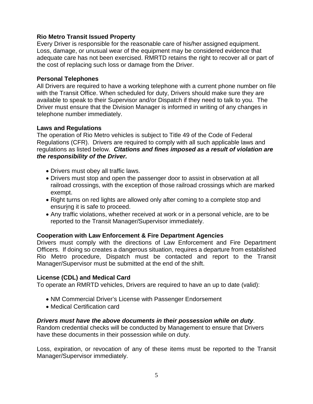#### **Rio Metro Transit Issued Property**

Every Driver is responsible for the reasonable care of his/her assigned equipment. Loss, damage, or unusual wear of the equipment may be considered evidence that adequate care has not been exercised. RMRTD retains the right to recover all or part of the cost of replacing such loss or damage from the Driver.

#### **Personal Telephones**

All Drivers are required to have a working telephone with a current phone number on file with the Transit Office. When scheduled for duty, Drivers should make sure they are available to speak to their Supervisor and/or Dispatch if they need to talk to you. The Driver must ensure that the Division Manager is informed in writing of any changes in telephone number immediately.

#### **Laws and Regulations**

The operation of Rio Metro vehicles is subject to Title 49 of the Code of Federal Regulations (CFR). Drivers are required to comply with all such applicable laws and regulations as listed below. *Citations and fines imposed as a result of violation are the responsibility of the Driver.*

- Drivers must obey all traffic laws.
- Drivers must stop and open the passenger door to assist in observation at all railroad crossings, with the exception of those railroad crossings which are marked exempt.
- Right turns on red lights are allowed only after coming to a complete stop and ensuring it is safe to proceed.
- Any traffic violations, whether received at work or in a personal vehicle, are to be reported to the Transit Manager/Supervisor immediately.

#### **Cooperation with Law Enforcement & Fire Department Agencies**

Drivers must comply with the directions of Law Enforcement and Fire Department Officers. If doing so creates a dangerous situation, requires a departure from established Rio Metro procedure, Dispatch must be contacted and report to the Transit Manager/Supervisor must be submitted at the end of the shift.

#### **License (CDL) and Medical Card**

To operate an RMRTD vehicles, Drivers are required to have an up to date (valid):

- NM Commercial Driver's License with Passenger Endorsement
- Medical Certification card

#### *Drivers must have the above documents in their possession while on duty*.

Random credential checks will be conducted by Management to ensure that Drivers have these documents in their possession while on duty.

Loss, expiration, or revocation of any of these items must be reported to the Transit Manager/Supervisor immediately.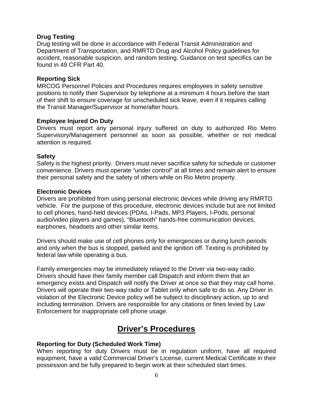#### **Drug Testing**

Drug testing will be done in accordance with Federal Transit Administration and Department of Transportation, and RMRTD Drug and Alcohol Policy guidelines for accident, reasonable suspicion, and random testing. Guidance on test specifics can be found in 49 CFR Part 40.

#### **Reporting Sick**

MRCOG Personnel Policies and Procedures requires employees in safety sensitive positions to notify their Supervisor by telephone at a minimum 4 hours before the start of their shift to ensure coverage for unscheduled sick leave, even if it requires calling the Transit Manager/Supervisor at home/after hours.

#### **Employee Injured On Duty**

Drivers must report any personal injury suffered on duty to authorized Rio Metro Supervisory/Management personnel as soon as possible, whether or not medical attention is required.

#### **Safety**

Safety is the highest priority. Drivers must never sacrifice safety for schedule or customer convenience. Drivers must operate "under control" at all times and remain alert to ensure their personal safety and the safety of others while on Rio Metro property.

#### **Electronic Devices**

Drivers are prohibited from using personal electronic devices while driving any RMRTD vehicle. For the purpose of this procedure, electronic devices include but are not limited to cell phones, hand-held devices (PDAs, I-Pads, MP3 Players, I-Pods, personal audio/video players and games), "Bluetooth" hands-free communication devices, earphones, headsets and other similar items.

Drivers should make use of cell phones only for emergencies or during lunch periods and only when the bus is stopped, parked and the ignition off. Texting is prohibited by federal law while operating a bus.

Family emergencies may be immediately relayed to the Driver via two-way radio. Drivers should have their family member call Dispatch and inform them that an emergency exists and Dispatch will notify the Driver at once so that they may call home. Drivers will operate their two-way radio or Tablet only when safe to do so. Any Driver in violation of the Electronic Device policy will be subject to disciplinary action, up to and including termination. Drivers are responsible for any citations or fines levied by Law Enforcement for inappropriate cell phone usage.

## **Driver's Procedures**

#### **Reporting for Duty (Scheduled Work Time)**

When reporting for duty Drivers must be in regulation uniform, have all required equipment, have a valid Commercial Driver's License, current Medical Certificate in their possession and be fully prepared to begin work at their scheduled start times.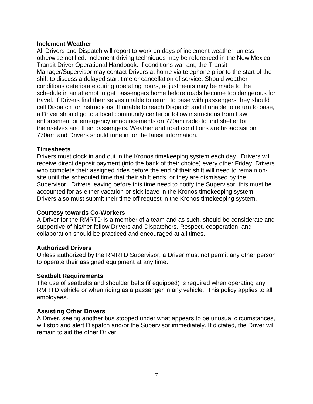#### **Inclement Weather**

All Drivers and Dispatch will report to work on days of inclement weather, unless otherwise notified. Inclement driving techniques may be referenced in the New Mexico Transit Driver Operational Handbook. If conditions warrant, the Transit Manager/Supervisor may contact Drivers at home via telephone prior to the start of the shift to discuss a delayed start time or cancellation of service. Should weather conditions deteriorate during operating hours, adjustments may be made to the schedule in an attempt to get passengers home before roads become too dangerous for travel. If Drivers find themselves unable to return to base with passengers they should call Dispatch for instructions. If unable to reach Dispatch and if unable to return to base, a Driver should go to a local community center or follow instructions from Law enforcement or emergency announcements on 770am radio to find shelter for themselves and their passengers. Weather and road conditions are broadcast on 770am and Drivers should tune in for the latest information.

#### **Timesheets**

Drivers must clock in and out in the Kronos timekeeping system each day. Drivers will receive direct deposit payment (into the bank of their choice) every other Friday. Drivers who complete their assigned rides before the end of their shift will need to remain onsite until the scheduled time that their shift ends, or they are dismissed by the Supervisor. Drivers leaving before this time need to notify the Supervisor; this must be accounted for as either vacation or sick leave in the Kronos timekeeping system. Drivers also must submit their time off request in the Kronos timekeeping system.

#### **Courtesy towards Co-Workers**

A Driver for the RMRTD is a member of a team and as such, should be considerate and supportive of his/her fellow Drivers and Dispatchers. Respect, cooperation, and collaboration should be practiced and encouraged at all times.

#### **Authorized Drivers**

Unless authorized by the RMRTD Supervisor, a Driver must not permit any other person to operate their assigned equipment at any time.

#### **Seatbelt Requirements**

The use of seatbelts and shoulder belts (if equipped) is required when operating any RMRTD vehicle or when riding as a passenger in any vehicle. This policy applies to all employees.

#### **Assisting Other Drivers**

A Driver, seeing another bus stopped under what appears to be unusual circumstances, will stop and alert Dispatch and/or the Supervisor immediately. If dictated, the Driver will remain to aid the other Driver.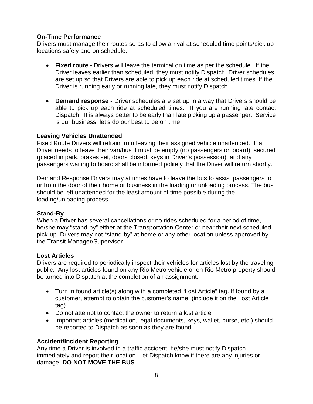#### **On-Time Performance**

Drivers must manage their routes so as to allow arrival at scheduled time points/pick up locations safely and on schedule.

- **Fixed route** Drivers will leave the terminal on time as per the schedule. If the Driver leaves earlier than scheduled, they must notify Dispatch. Driver schedules are set up so that Drivers are able to pick up each ride at scheduled times. If the Driver is running early or running late, they must notify Dispatch.
- **Demand response -** Driver schedules are set up in a way that Drivers should be able to pick up each ride at scheduled times. If you are running late contact Dispatch. It is always better to be early than late picking up a passenger. Service is our business; let's do our best to be on time.

#### **Leaving Vehicles Unattended**

Fixed Route Drivers will refrain from leaving their assigned vehicle unattended. If a Driver needs to leave their van/bus it must be empty (no passengers on board), secured (placed in park, brakes set, doors closed, keys in Driver's possession), and any passengers waiting to board shall be informed politely that the Driver will return shortly.

Demand Response Drivers may at times have to leave the bus to assist passengers to or from the door of their home or business in the loading or unloading process. The bus should be left unattended for the least amount of time possible during the loading/unloading process.

#### **Stand-By**

When a Driver has several cancellations or no rides scheduled for a period of time, he/she may "stand-by" either at the Transportation Center or near their next scheduled pick-up. Drivers may not "stand-by" at home or any other location unless approved by the Transit Manager/Supervisor.

#### **Lost Articles**

Drivers are required to periodically inspect their vehicles for articles lost by the traveling public. Any lost articles found on any Rio Metro vehicle or on Rio Metro property should be turned into Dispatch at the completion of an assignment.

- Turn in found article(s) along with a completed "Lost Article" tag. If found by a customer, attempt to obtain the customer's name, (include it on the Lost Article tag)
- Do not attempt to contact the owner to return a lost article
- Important articles (medication, legal documents, keys, wallet, purse, etc.) should be reported to Dispatch as soon as they are found

#### **Accident/Incident Reporting**

Any time a Driver is involved in a traffic accident, he/she must notify Dispatch immediately and report their location. Let Dispatch know if there are any injuries or damage. **DO NOT MOVE THE BUS**.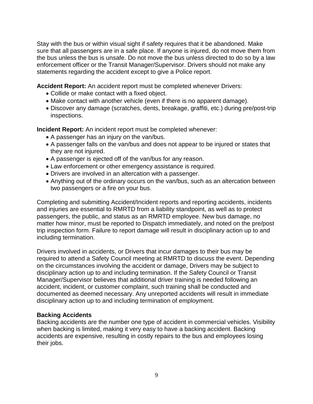Stay with the bus or within visual sight if safety requires that it be abandoned. Make sure that all passengers are in a safe place. If anyone is injured, do not move them from the bus unless the bus is unsafe. Do not move the bus unless directed to do so by a law enforcement officer or the Transit Manager/Supervisor. Drivers should not make any statements regarding the accident except to give a Police report.

**Accident Report:** An accident report must be completed whenever Drivers:

- Collide or make contact with a fixed object.
- Make contact with another vehicle (even if there is no apparent damage).
- Discover any damage (scratches, dents, breakage, graffiti, etc.) during pre/post-trip inspections.

**Incident Report:** An incident report must be completed whenever:

- A passenger has an injury on the van/bus.
- A passenger falls on the van/bus and does not appear to be injured or states that they are not injured.
- A passenger is ejected off of the van/bus for any reason.
- Law enforcement or other emergency assistance is required.
- Drivers are involved in an altercation with a passenger.
- Anything out of the ordinary occurs on the van/bus, such as an altercation between two passengers or a fire on your bus.

Completing and submitting Accident/Incident reports and reporting accidents, incidents and injuries are essential to RMRTD from a liability standpoint, as well as to protect passengers, the public, and status as an RMRTD employee. New bus damage, no matter how minor, must be reported to Dispatch immediately, and noted on the pre/post trip inspection form. Failure to report damage will result in disciplinary action up to and including termination.

Drivers involved in accidents, or Drivers that incur damages to their bus may be required to attend a Safety Council meeting at RMRTD to discuss the event. Depending on the circumstances involving the accident or damage, Drivers may be subject to disciplinary action up to and including termination. If the Safety Council or Transit Manager/Supervisor believes that additional driver training is needed following an accident, incident, or customer complaint, such training shall be conducted and documented as deemed necessary. Any unreported accidents will result in immediate disciplinary action up to and including termination of employment.

#### **Backing Accidents**

Backing accidents are the number one type of accident in commercial vehicles. Visibility when backing is limited, making it very easy to have a backing accident. Backing accidents are expensive, resulting in costly repairs to the bus and employees losing their jobs.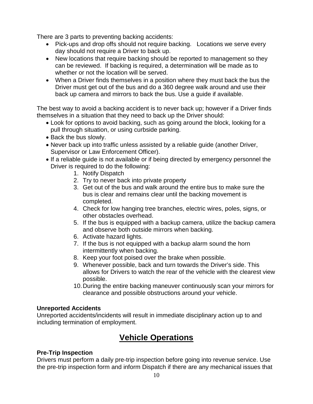There are 3 parts to preventing backing accidents:

- Pick-ups and drop offs should not require backing. Locations we serve every day should not require a Driver to back up.
- New locations that require backing should be reported to management so they can be reviewed. If backing is required, a determination will be made as to whether or not the location will be served.
- When a Driver finds themselves in a position where they must back the bus the Driver must get out of the bus and do a 360 degree walk around and use their back up camera and mirrors to back the bus. Use a guide if available.

The best way to avoid a backing accident is to never back up; however if a Driver finds themselves in a situation that they need to back up the Driver should:

- Look for options to avoid backing, such as going around the block, looking for a pull through situation, or using curbside parking.
- Back the bus slowly.
- Never back up into traffic unless assisted by a reliable guide (another Driver, Supervisor or Law Enforcement Officer).
- If a reliable guide is not available or if being directed by emergency personnel the Driver is required to do the following:
	- 1. Notify Dispatch
	- 2. Try to never back into private property
	- 3. Get out of the bus and walk around the entire bus to make sure the bus is clear and remains clear until the backing movement is completed.
	- 4. Check for low hanging tree branches, electric wires, poles, signs, or other obstacles overhead.
	- 5. If the bus is equipped with a backup camera, utilize the backup camera and observe both outside mirrors when backing.
	- 6. Activate hazard lights.
	- 7. If the bus is not equipped with a backup alarm sound the horn intermittently when backing.
	- 8. Keep your foot poised over the brake when possible.
	- 9. Whenever possible, back and turn towards the Driver's side. This allows for Drivers to watch the rear of the vehicle with the clearest view possible.
	- 10.During the entire backing maneuver continuously scan your mirrors for clearance and possible obstructions around your vehicle.

#### **Unreported Accidents**

Unreported accidents/incidents will result in immediate disciplinary action up to and including termination of employment.

## **Vehicle Operations**

#### **Pre-Trip Inspection**

Drivers must perform a daily pre-trip inspection before going into revenue service. Use the pre-trip inspection form and inform Dispatch if there are any mechanical issues that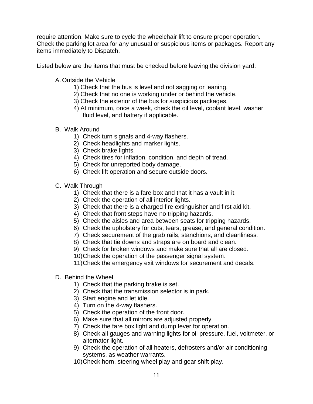require attention. Make sure to cycle the wheelchair lift to ensure proper operation. Check the parking lot area for any unusual or suspicious items or packages. Report any items immediately to Dispatch.

Listed below are the items that must be checked before leaving the division yard:

- A. Outside the Vehicle
	- 1) Check that the bus is level and not sagging or leaning.
	- 2) Check that no one is working under or behind the vehicle.
	- 3) Check the exterior of the bus for suspicious packages.
	- 4) At minimum, once a week, check the oil level, coolant level, washer fluid level, and battery if applicable.
- B. Walk Around
	- 1) Check turn signals and 4-way flashers.
	- 2) Check headlights and marker lights.
	- 3) Check brake lights.
	- 4) Check tires for inflation, condition, and depth of tread.
	- 5) Check for unreported body damage.
	- 6) Check lift operation and secure outside doors.
- C. Walk Through
	- 1) Check that there is a fare box and that it has a vault in it.
	- 2) Check the operation of all interior lights.
	- 3) Check that there is a charged fire extinguisher and first aid kit.
	- 4) Check that front steps have no tripping hazards.
	- 5) Check the aisles and area between seats for tripping hazards.
	- 6) Check the upholstery for cuts, tears, grease, and general condition.
	- 7) Check securement of the grab rails, stanchions, and cleanliness.
	- 8) Check that tie downs and straps are on board and clean.
	- 9) Check for broken windows and make sure that all are closed.
	- 10)Check the operation of the passenger signal system.

11)Check the emergency exit windows for securement and decals.

- D. Behind the Wheel
	- 1) Check that the parking brake is set.
	- 2) Check that the transmission selector is in park.
	- 3) Start engine and let idle.
	- 4) Turn on the 4-way flashers.
	- 5) Check the operation of the front door.
	- 6) Make sure that all mirrors are adjusted properly.
	- 7) Check the fare box light and dump lever for operation.
	- 8) Check all gauges and warning lights for oil pressure, fuel, voltmeter, or alternator light.
	- 9) Check the operation of all heaters, defrosters and/or air conditioning systems, as weather warrants.
	- 10)Check horn, steering wheel play and gear shift play.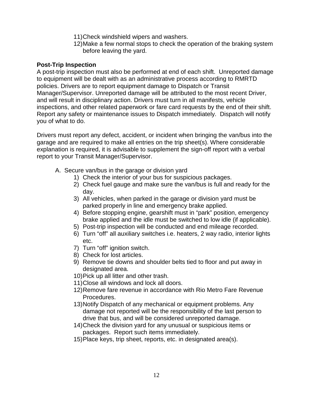- 11)Check windshield wipers and washers.
- 12)Make a few normal stops to check the operation of the braking system before leaving the yard.

#### **Post-Trip Inspection**

A post-trip inspection must also be performed at end of each shift. Unreported damage to equipment will be dealt with as an administrative process according to RMRTD policies. Drivers are to report equipment damage to Dispatch or Transit Manager/Supervisor. Unreported damage will be attributed to the most recent Driver, and will result in disciplinary action. Drivers must turn in all manifests, vehicle inspections, and other related paperwork or fare card requests by the end of their shift. Report any safety or maintenance issues to Dispatch immediately. Dispatch will notify you of what to do.

Drivers must report any defect, accident, or incident when bringing the van/bus into the garage and are required to make all entries on the trip sheet(s). Where considerable explanation is required, it is advisable to supplement the sign-off report with a verbal report to your Transit Manager/Supervisor.

- A. Secure van/bus in the garage or division yard
	- 1) Check the interior of your bus for suspicious packages.
	- 2) Check fuel gauge and make sure the van/bus is full and ready for the day.
	- 3) All vehicles, when parked in the garage or division yard must be parked properly in line and emergency brake applied.
	- 4) Before stopping engine, gearshift must in "park" position, emergency brake applied and the idle must be switched to low idle (if applicable).
	- 5) Post-trip inspection will be conducted and end mileage recorded.
	- 6) Turn "off" all auxiliary switches i.e. heaters, 2 way radio, interior lights etc.
	- 7) Turn "off" ignition switch.
	- 8) Check for lost articles.
	- 9) Remove tie downs and shoulder belts tied to floor and put away in designated area.
	- 10)Pick up all litter and other trash.
	- 11)Close all windows and lock all doors.
	- 12)Remove fare revenue in accordance with Rio Metro Fare Revenue Procedures.
	- 13)Notify Dispatch of any mechanical or equipment problems. Any damage not reported will be the responsibility of the last person to drive that bus, and will be considered unreported damage.
	- 14)Check the division yard for any unusual or suspicious items or packages. Report such items immediately.
	- 15)Place keys, trip sheet, reports, etc. in designated area(s).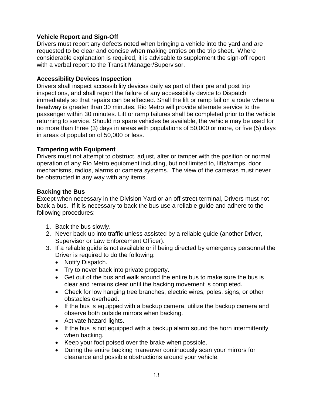#### **Vehicle Report and Sign-Off**

Drivers must report any defects noted when bringing a vehicle into the yard and are requested to be clear and concise when making entries on the trip sheet. Where considerable explanation is required, it is advisable to supplement the sign-off report with a verbal report to the Transit Manager/Supervisor.

#### **Accessibility Devices Inspection**

Drivers shall inspect accessibility devices daily as part of their pre and post trip inspections, and shall report the failure of any accessibility device to Dispatch immediately so that repairs can be effected. Shall the lift or ramp fail on a route where a headway is greater than 30 minutes, Rio Metro will provide alternate service to the passenger within 30 minutes. Lift or ramp failures shall be completed prior to the vehicle returning to service. Should no spare vehicles be available, the vehicle may be used for no more than three (3) days in areas with populations of 50,000 or more, or five (5) days in areas of population of 50,000 or less.

#### **Tampering with Equipment**

Drivers must not attempt to obstruct, adjust, alter or tamper with the position or normal operation of any Rio Metro equipment including, but not limited to, lifts/ramps, door mechanisms, radios, alarms or camera systems. The view of the cameras must never be obstructed in any way with any items.

#### **Backing the Bus**

Except when necessary in the Division Yard or an off street terminal, Drivers must not back a bus. If it is necessary to back the bus use a reliable guide and adhere to the following procedures:

- 1. Back the bus slowly.
- 2. Never back up into traffic unless assisted by a reliable guide (another Driver, Supervisor or Law Enforcement Officer).
- 3. If a reliable guide is not available or if being directed by emergency personnel the Driver is required to do the following:
	- Notify Dispatch.
	- Try to never back into private property.
	- Get out of the bus and walk around the entire bus to make sure the bus is clear and remains clear until the backing movement is completed.
	- Check for low hanging tree branches, electric wires, poles, signs, or other obstacles overhead.
	- If the bus is equipped with a backup camera, utilize the backup camera and observe both outside mirrors when backing.
	- Activate hazard lights.
	- If the bus is not equipped with a backup alarm sound the horn intermittently when backing.
	- Keep your foot poised over the brake when possible.
	- During the entire backing maneuver continuously scan your mirrors for clearance and possible obstructions around your vehicle.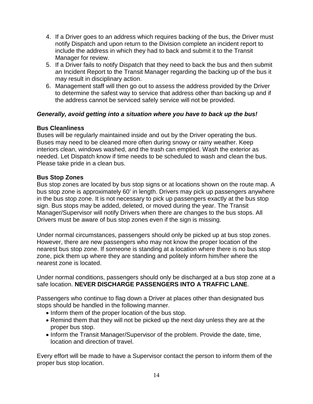- 4. If a Driver goes to an address which requires backing of the bus, the Driver must notify Dispatch and upon return to the Division complete an incident report to include the address in which they had to back and submit it to the Transit Manager for review.
- 5. If a Driver fails to notify Dispatch that they need to back the bus and then submit an Incident Report to the Transit Manager regarding the backing up of the bus it may result in disciplinary action.
- 6. Management staff will then go out to assess the address provided by the Driver to determine the safest way to service that address other than backing up and if the address cannot be serviced safely service will not be provided.

#### *Generally, avoid getting into a situation where you have to back up the bus!*

#### **Bus Cleanliness**

Buses will be regularly maintained inside and out by the Driver operating the bus. Buses may need to be cleaned more often during snowy or rainy weather. Keep interiors clean, windows washed, and the trash can emptied. Wash the exterior as needed. Let Dispatch know if time needs to be scheduled to wash and clean the bus. Please take pride in a clean bus.

#### **Bus Stop Zones**

Bus stop zones are located by bus stop signs or at locations shown on the route map. A bus stop zone is approximately 60' in length. Drivers may pick up passengers anywhere in the bus stop zone. It is not necessary to pick up passengers exactly at the bus stop sign. Bus stops may be added, deleted, or moved during the year. The Transit Manager/Supervisor will notify Drivers when there are changes to the bus stops. All Drivers must be aware of bus stop zones even if the sign is missing.

Under normal circumstances, passengers should only be picked up at bus stop zones. However, there are new passengers who may not know the proper location of the nearest bus stop zone. If someone is standing at a location where there is no bus stop zone, pick them up where they are standing and politely inform him/her where the nearest zone is located.

Under normal conditions, passengers should only be discharged at a bus stop zone at a safe location. **NEVER DISCHARGE PASSENGERS INTO A TRAFFIC LANE**.

Passengers who continue to flag down a Driver at places other than designated bus stops should be handled in the following manner.

- Inform them of the proper location of the bus stop.
- Remind them that they will not be picked up the next day unless they are at the proper bus stop.
- Inform the Transit Manager/Supervisor of the problem. Provide the date, time, location and direction of travel.

Every effort will be made to have a Supervisor contact the person to inform them of the proper bus stop location.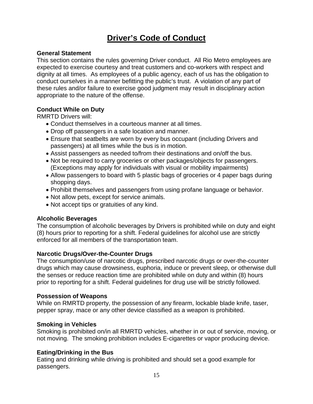## **Driver's Code of Conduct**

#### **General Statement**

This section contains the rules governing Driver conduct. All Rio Metro employees are expected to exercise courtesy and treat customers and co-workers with respect and dignity at all times. As employees of a public agency, each of us has the obligation to conduct ourselves in a manner befitting the public's trust. A violation of any part of these rules and/or failure to exercise good judgment may result in disciplinary action appropriate to the nature of the offense.

#### **Conduct While on Duty**

RMRTD Drivers will:

- Conduct themselves in a courteous manner at all times.
- Drop off passengers in a safe location and manner.
- Ensure that seatbelts are worn by every bus occupant (including Drivers and passengers) at all times while the bus is in motion.
- Assist passengers as needed to/from their destinations and on/off the bus.
- Not be required to carry groceries or other packages/objects for passengers. (Exceptions may apply for individuals with visual or mobility impairments)
- Allow passengers to board with 5 plastic bags of groceries or 4 paper bags during shopping days.
- Prohibit themselves and passengers from using profane language or behavior.
- Not allow pets, except for service animals.
- Not accept tips or gratuities of any kind.

#### **Alcoholic Beverages**

The consumption of alcoholic beverages by Drivers is prohibited while on duty and eight (8) hours prior to reporting for a shift. Federal guidelines for alcohol use are strictly enforced for all members of the transportation team.

#### **Narcotic Drugs/Over-the-Counter Drugs**

The consumption/use of narcotic drugs, prescribed narcotic drugs or over-the-counter drugs which may cause drowsiness, euphoria, induce or prevent sleep, or otherwise dull the senses or reduce reaction time are prohibited while on duty and within (8) hours prior to reporting for a shift. Federal guidelines for drug use will be strictly followed.

#### **Possession of Weapons**

While on RMRTD property, the possession of any firearm, lockable blade knife, taser, pepper spray, mace or any other device classified as a weapon is prohibited.

#### **Smoking in Vehicles**

Smoking is prohibited on/in all RMRTD vehicles, whether in or out of service, moving, or not moving. The smoking prohibition includes E-cigarettes or vapor producing device.

#### **Eating/Drinking in the Bus**

Eating and drinking while driving is prohibited and should set a good example for passengers.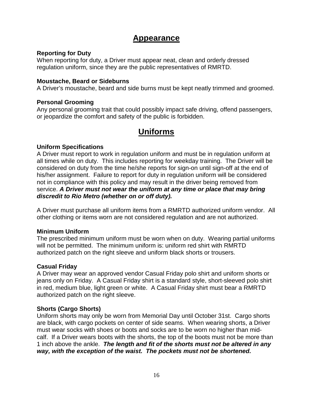### **Appearance**

#### **Reporting for Duty**

When reporting for duty, a Driver must appear neat, clean and orderly dressed regulation uniform, since they are the public representatives of RMRTD.

#### **Moustache, Beard or Sideburns**

A Driver's moustache, beard and side burns must be kept neatly trimmed and groomed.

#### **Personal Grooming**

Any personal grooming trait that could possibly impact safe driving, offend passengers, or jeopardize the comfort and safety of the public is forbidden.

## **Uniforms**

#### **Uniform Specifications**

A Driver must report to work in regulation uniform and must be in regulation uniform at all times while on duty. This includes reporting for weekday training. The Driver will be considered on duty from the time he/she reports for sign-on until sign-off at the end of his/her assignment. Failure to report for duty in regulation uniform will be considered not in compliance with this policy and may result in the driver being removed from service. *A Driver must not wear the uniform at any time or place that may bring discredit to Rio Metro (whether on or off duty).*

A Driver must purchase all uniform items from a RMRTD authorized uniform vendor. All other clothing or items worn are not considered regulation and are not authorized.

#### **Minimum Uniform**

The prescribed minimum uniform must be worn when on duty. Wearing partial uniforms will not be permitted. The minimum uniform is: uniform red shirt with RMRTD authorized patch on the right sleeve and uniform black shorts or trousers.

#### **Casual Friday**

A Driver may wear an approved vendor Casual Friday polo shirt and uniform shorts or jeans only on Friday. A Casual Friday shirt is a standard style, short-sleeved polo shirt in red, medium blue, light green or white. A Casual Friday shirt must bear a RMRTD authorized patch on the right sleeve.

#### **Shorts (Cargo Shorts)**

Uniform shorts may only be worn from Memorial Day until October 31st. Cargo shorts are black, with cargo pockets on center of side seams. When wearing shorts, a Driver must wear socks with shoes or boots and socks are to be worn no higher than midcalf. If a Driver wears boots with the shorts, the top of the boots must not be more than 1 inch above the ankle. *The length and fit of the shorts must not be altered in any way, with the exception of the waist. The pockets must not be shortened.*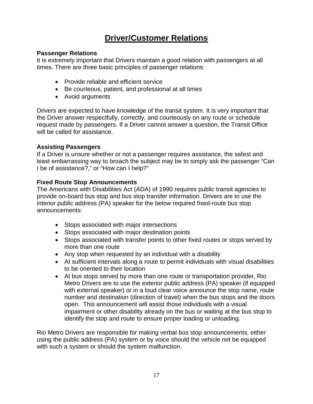## **Driver/Customer Relations**

#### **Passenger Relations**

It is extremely important that Drivers maintain a good relation with passengers at all times. There are three basic principles of passenger relations:

- Provide reliable and efficient service
- Be courteous, patient, and professional at all times
- Avoid arguments

Drivers are expected to have knowledge of the transit system. It is very important that the Driver answer respectfully, correctly, and courteously on any route or schedule request made by passengers. If a Driver cannot answer a question, the Transit Office will be called for assistance.

#### **Assisting Passengers**

If a Driver is unsure whether or not a passenger requires assistance, the safest and least embarrassing way to broach the subject may be to simply ask the passenger "Can I be of assistance?," or "How can I help?"

#### **Fixed Route Stop Announcements**

The Americans with Disabilities Act (ADA) of 1990 requires public transit agencies to provide on-board bus stop and bus stop transfer information. Drivers are to use the interior public address (PA) speaker for the below required fixed-route bus stop announcements:

- Stops associated with major intersections
- Stops associated with major destination points
- Stops associated with transfer points to other fixed routes or stops served by more than one route
- Any stop when requested by an individual with a disability
- At sufficient intervals along a route to permit individuals with visual disabilities to be oriented to their location
- At bus stops served by more than one route or transportation provider, Rio Metro Drivers are to use the exterior public address (PA) speaker (if equipped with external speaker) or in a loud clear voice announce the stop name, route number and destination (direction of travel) when the bus stops and the doors open. This announcement will assist those individuals with a visual impairment or other disability already on the bus or waiting at the bus stop to identify the stop and route to ensure proper loading or unloading.

Rio Metro Drivers are responsible for making verbal bus stop announcements, either using the public address (PA) system or by voice should the vehicle not be equipped with such a system or should the system malfunction.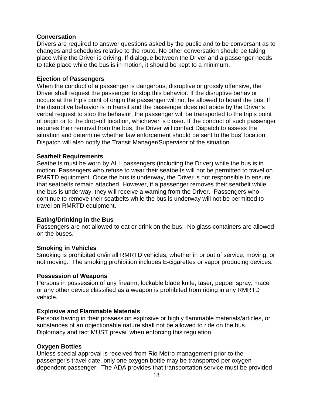#### **Conversation**

Drivers are required to answer questions asked by the public and to be conversant as to changes and schedules relative to the route. No other conversation should be taking place while the Driver is driving. If dialogue between the Driver and a passenger needs to take place while the bus is in motion, it should be kept to a minimum.

#### **Ejection of Passengers**

When the conduct of a passenger is dangerous, disruptive or grossly offensive, the Driver shall request the passenger to stop this behavior. If the disruptive behavior occurs at the trip's point of origin the passenger will not be allowed to board the bus. If the disruptive behavior is in transit and the passenger does not abide by the Driver's verbal request to stop the behavior, the passenger will be transported to the trip's point of origin or to the drop-off location, whichever is closer. If the conduct of such passenger requires their removal from the bus, the Driver will contact Dispatch to assess the situation and determine whether law enforcement should be sent to the bus' location. Dispatch will also notify the Transit Manager/Supervisor of the situation.

#### **Seatbelt Requirements**

Seatbelts must be worn by ALL passengers (including the Driver) while the bus is in motion. Passengers who refuse to wear their seatbelts will not be permitted to travel on RMRTD equipment. Once the bus is underway, the Driver is not responsible to ensure that seatbelts remain attached. However, if a passenger removes their seatbelt while the bus is underway, they will receive a warning from the Driver. Passengers who continue to remove their seatbelts while the bus is underway will not be permitted to travel on RMRTD equipment.

#### **Eating/Drinking in the Bus**

Passengers are not allowed to eat or drink on the bus. No glass containers are allowed on the buses.

#### **Smoking in Vehicles**

Smoking is prohibited on/in all RMRTD vehicles, whether in or out of service, moving, or not moving. The smoking prohibition includes E-cigarettes or vapor producing devices.

#### **Possession of Weapons**

Persons in possession of any firearm, lockable blade knife, taser, pepper spray, mace or any other device classified as a weapon is prohibited from riding in any RMRTD vehicle.

#### **Explosive and Flammable Materials**

Persons having in their possession explosive or highly flammable materials/articles, or substances of an objectionable nature shall not be allowed to ride on the bus. Diplomacy and tact MUST prevail when enforcing this regulation.

#### **Oxygen Bottles**

Unless special approval is received from Rio Metro management prior to the passenger's travel date, only one oxygen bottle may be transported per oxygen dependent passenger. The ADA provides that transportation service must be provided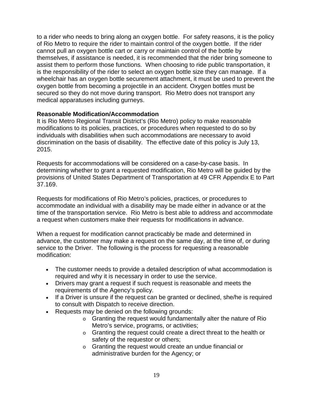to a rider who needs to bring along an oxygen bottle. For safety reasons, it is the policy of Rio Metro to require the rider to maintain control of the oxygen bottle. If the rider cannot pull an oxygen bottle cart or carry or maintain control of the bottle by themselves, if assistance is needed, it is recommended that the rider bring someone to assist them to perform those functions. When choosing to ride public transportation, it is the responsibility of the rider to select an oxygen bottle size they can manage. If a wheelchair has an oxygen bottle securement attachment, it must be used to prevent the oxygen bottle from becoming a projectile in an accident. Oxygen bottles must be secured so they do not move during transport. Rio Metro does not transport any medical apparatuses including gurneys.

#### **Reasonable Modification/Accommodation**

It is Rio Metro Regional Transit District's (Rio Metro) policy to make reasonable modifications to its policies, practices, or procedures when requested to do so by individuals with disabilities when such accommodations are necessary to avoid discrimination on the basis of disability. The effective date of this policy is July 13, 2015.

Requests for accommodations will be considered on a case-by-case basis. In determining whether to grant a requested modification, Rio Metro will be guided by the provisions of United States Department of Transportation at 49 CFR Appendix E to Part 37.169.

Requests for modifications of Rio Metro's policies, practices, or procedures to accommodate an individual with a disability may be made either in advance or at the time of the transportation service. Rio Metro is best able to address and accommodate a request when customers make their requests for modifications in advance.

When a request for modification cannot practicably be made and determined in advance, the customer may make a request on the same day, at the time of, or during service to the Driver. The following is the process for requesting a reasonable modification:

- The customer needs to provide a detailed description of what accommodation is required and why it is necessary in order to use the service.
- Drivers may grant a request if such request is reasonable and meets the requirements of the Agency's policy.
- If a Driver is unsure if the request can be granted or declined, she/he is required to consult with Dispatch to receive direction.
- Requests may be denied on the following grounds:
	- o Granting the request would fundamentally alter the nature of Rio Metro's service, programs, or activities;
	- o Granting the request could create a direct threat to the health or safety of the requestor or others;
	- o Granting the request would create an undue financial or administrative burden for the Agency; or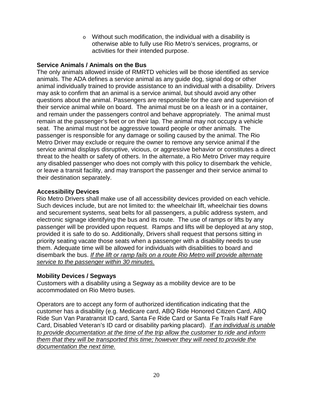o Without such modification, the individual with a disability is otherwise able to fully use Rio Metro's services, programs, or activities for their intended purpose.

#### **Service Animals / Animals on the Bus**

The only animals allowed inside of RMRTD vehicles will be those identified as service animals. The ADA defines a service animal as any guide dog, signal dog or other animal individually trained to provide assistance to an individual with a disability. Drivers may ask to confirm that an animal is a service animal, but should avoid any other questions about the animal. Passengers are responsible for the care and supervision of their service animal while on board. The animal must be on a leash or in a container, and remain under the passengers control and behave appropriately. The animal must remain at the passenger's feet or on their lap. The animal may not occupy a vehicle seat. The animal must not be aggressive toward people or other animals. The passenger is responsible for any damage or soiling caused by the animal. The Rio Metro Driver may exclude or require the owner to remove any service animal if the service animal displays disruptive, vicious, or aggressive behavior or constitutes a direct threat to the health or safety of others. In the alternate, a Rio Metro Driver may require any disabled passenger who does not comply with this policy to disembark the vehicle, or leave a transit facility, and may transport the passenger and their service animal to their destination separately.

#### **Accessibility Devices**

Rio Metro Drivers shall make use of all accessibility devices provided on each vehicle. Such devices include, but are not limited to: the wheelchair lift, wheelchair ties downs and securement systems, seat belts for all passengers, a public address system, and electronic signage identifying the bus and its route. The use of ramps or lifts by any passenger will be provided upon request. Ramps and lifts will be deployed at any stop, provided it is safe to do so. Additionally, Drivers shall request that persons sitting in priority seating vacate those seats when a passenger with a disability needs to use them. Adequate time will be allowed for individuals with disabilities to board and disembark the bus. *If the lift or ramp fails on a route Rio Metro will provide alternate service to the passenger within 30 minutes.*

#### **Mobility Devices / Segways**

Customers with a disability using a Segway as a mobility device are to be accommodated on Rio Metro buses.

Operators are to accept any form of authorized identification indicating that the customer has a disability (e.g. Medicare card, ABQ Ride Honored Citizen Card, ABQ Ride Sun Van Paratransit ID card, Santa Fe Ride Card or Santa Fe Trails Half Fare Card, Disabled Veteran's ID card or disability parking placard). *If an individual is unable to provide documentation at the time of the trip allow the customer to ride and inform them that they will be transported this time; however they will need to provide the documentation the next time.*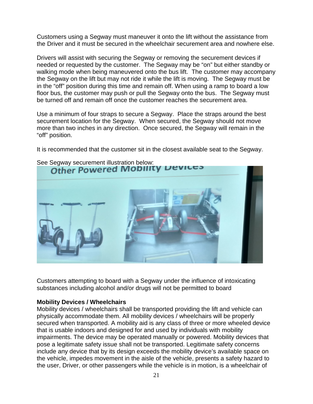Customers using a Segway must maneuver it onto the lift without the assistance from the Driver and it must be secured in the wheelchair securement area and nowhere else.

Drivers will assist with securing the Segway or removing the securement devices if needed or requested by the customer. The Segway may be "on" but either standby or walking mode when being maneuvered onto the bus lift. The customer may accompany the Segway on the lift but may not ride it while the lift is moving. The Segway must be in the "off" position during this time and remain off. When using a ramp to board a low floor bus, the customer may push or pull the Segway onto the bus. The Segway must be turned off and remain off once the customer reaches the securement area.

Use a minimum of four straps to secure a Segway. Place the straps around the best securement location for the Segway. When secured, the Segway should not move more than two inches in any direction. Once secured, the Segway will remain in the "off" position.

It is recommended that the customer sit in the closest available seat to the Segway.



## See Segway securement illustration below:

Customers attempting to board with a Segway under the influence of intoxicating substances including alcohol and/or drugs will not be permitted to board

#### **Mobility Devices / Wheelchairs**

Mobility devices / wheelchairs shall be transported providing the lift and vehicle can physically accommodate them. All mobility devices / wheelchairs will be properly secured when transported. A mobility aid is any class of three or more wheeled device that is usable indoors and designed for and used by individuals with mobility impairments. The device may be operated manually or powered. Mobility devices that pose a legitimate safety issue shall not be transported. Legitimate safety concerns include any device that by its design exceeds the mobility device's available space on the vehicle, impedes movement in the aisle of the vehicle, presents a safety hazard to the user, Driver, or other passengers while the vehicle is in motion, is a wheelchair of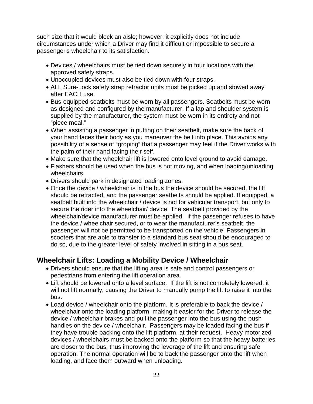such size that it would block an aisle; however, it explicitly does not include circumstances under which a Driver may find it difficult or impossible to secure a passenger's wheelchair to its satisfaction.

- Devices / wheelchairs must be tied down securely in four locations with the approved safety straps.
- Unoccupied devices must also be tied down with four straps.
- ALL Sure-Lock safety strap retractor units must be picked up and stowed away after EACH use.
- Bus-equipped seatbelts must be worn by all passengers. Seatbelts must be worn as designed and configured by the manufacturer. If a lap and shoulder system is supplied by the manufacturer, the system must be worn in its entirety and not "piece meal."
- When assisting a passenger in putting on their seatbelt, make sure the back of your hand faces their body as you maneuver the belt into place. This avoids any possibility of a sense of "groping" that a passenger may feel if the Driver works with the palm of their hand facing their self.
- Make sure that the wheelchair lift is lowered onto level ground to avoid damage.
- Flashers should be used when the bus is not moving, and when loading/unloading wheelchairs.
- Drivers should park in designated loading zones.
- Once the device / wheelchair is in the bus the device should be secured, the lift should be retracted, and the passenger seatbelts should be applied. If equipped, a seatbelt built into the wheelchair / device is not for vehicular transport, but only to secure the rider into the wheelchair/ device. The seatbelt provided by the wheelchair/device manufacturer must be applied. If the passenger refuses to have the device / wheelchair secured, or to wear the manufacturer's seatbelt, the passenger will not be permitted to be transported on the vehicle. Passengers in scooters that are able to transfer to a standard bus seat should be encouraged to do so, due to the greater level of safety involved in sitting in a bus seat.

#### **Wheelchair Lifts: Loading a Mobility Device / Wheelchair**

- Drivers should ensure that the lifting area is safe and control passengers or pedestrians from entering the lift operation area.
- Lift should be lowered onto a level surface. If the lift is not completely lowered, it will not lift normally, causing the Driver to manually pump the lift to raise it into the bus.
- Load device / wheelchair onto the platform. It is preferable to back the device / wheelchair onto the loading platform, making it easier for the Driver to release the device / wheelchair brakes and pull the passenger into the bus using the push handles on the device / wheelchair. Passengers may be loaded facing the bus if they have trouble backing onto the lift platform, at their request. Heavy motorized devices / wheelchairs must be backed onto the platform so that the heavy batteries are closer to the bus, thus improving the leverage of the lift and ensuring safe operation. The normal operation will be to back the passenger onto the lift when loading, and face them outward when unloading.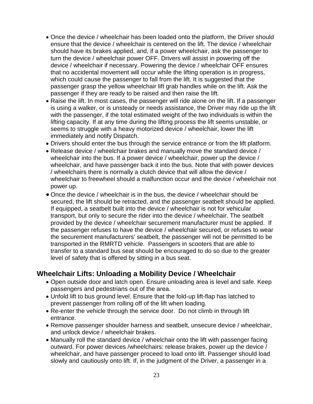- Once the device / wheelchair has been loaded onto the platform, the Driver should ensure that the device / wheelchair is centered on the lift. The device / wheelchair should have its brakes applied, and, if a power wheelchair, ask the passenger to turn the device / wheelchair power OFF. Drivers will assist in powering off the device / wheelchair if necessary. Powering the device / wheelchair OFF ensures that no accidental movement will occur while the lifting operation is in progress, which could cause the passenger to fall from the lift. It is suggested that the passenger grasp the yellow wheelchair lift grab handles while on the lift. Ask the passenger if they are ready to be raised and then raise the lift.
- Raise the lift. In most cases, the passenger will ride alone on the lift. If a passenger is using a walker, or is unsteady or needs assistance, the Driver may ride up the lift with the passenger, if the total estimated weight of the two individuals is within the lifting capacity. If at any time during the lifting process the lift seems unstable, or seems to struggle with a heavy motorized device / wheelchair, lower the lift immediately and notify Dispatch.
- Drivers should enter the bus through the service entrance or from the lift platform.
- Release device / wheelchair brakes and manually move the standard device / wheelchair into the bus. If a power device / wheelchair, power up the device / wheelchair, and have passenger back it into the bus. Note that with power devices / wheelchairs there is normally a clutch device that will allow the device / wheelchair to freewheel should a malfunction occur and the device / wheelchair not power up.
- Once the device / wheelchair is in the bus, the device / wheelchair should be secured, the lift should be retracted, and the passenger seatbelt should be applied. If equipped, a seatbelt built into the device / wheelchair is not for vehicular transport, but only to secure the rider into the device / wheelchair. The seatbelt provided by the device / wheelchair securement manufacturer must be applied. If the passenger refuses to have the device / wheelchair secured, or refuses to wear the securement manufacturers' seatbelt, the passenger will not be permitted to be transported in the RMRTD vehicle. Passengers in scooters that are able to transfer to a standard bus seat should be encouraged to do so due to the greater level of safety that is offered by sitting in a bus seat.

#### **Wheelchair Lifts: Unloading a Mobility Device / Wheelchair**

- Open outside door and latch open. Ensure unloading area is level and safe. Keep passengers and pedestrians out of the area.
- Unfold lift to bus ground level. Ensure that the fold-up lift-flap has latched to prevent passenger from rolling off of the lift when loading.
- Re-enter the vehicle through the service door. Do not climb in through lift entrance.
- Remove passenger shoulder harness and seatbelt, unsecure device / wheelchair, and unlock device / wheelchair brakes.
- Manually roll the standard device / wheelchair onto the lift with passenger facing outward. For power devices /wheelchairs: release brakes, power up the device / wheelchair, and have passenger proceed to load onto lift. Passenger should load slowly and cautiously onto lift. If, in the judgment of the Driver, a passenger in a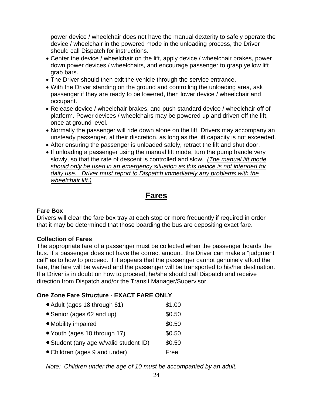power device / wheelchair does not have the manual dexterity to safely operate the device / wheelchair in the powered mode in the unloading process, the Driver should call Dispatch for instructions.

- Center the device / wheelchair on the lift, apply device / wheelchair brakes, power down power devices / wheelchairs, and encourage passenger to grasp yellow lift grab bars.
- The Driver should then exit the vehicle through the service entrance.
- With the Driver standing on the ground and controlling the unloading area, ask passenger if they are ready to be lowered, then lower device / wheelchair and occupant.
- Release device / wheelchair brakes, and push standard device / wheelchair off of platform. Power devices / wheelchairs may be powered up and driven off the lift, once at ground level.
- Normally the passenger will ride down alone on the lift. Drivers may accompany an unsteady passenger, at their discretion, as long as the lift capacity is not exceeded.
- After ensuring the passenger is unloaded safely, retract the lift and shut door.
- If unloading a passenger using the manual lift mode, turn the pump handle very slowly, so that the rate of descent is controlled and slow. *(The manual lift mode should only be used in an emergency situation as this device is not intended for daily use. Driver must report to Dispatch immediately any problems with the wheelchair lift.)*

## **Fares**

#### **Fare Box**

Drivers will clear the fare box tray at each stop or more frequently if required in order that it may be determined that those boarding the bus are depositing exact fare.

#### **Collection of Fares**

The appropriate fare of a passenger must be collected when the passenger boards the bus. If a passenger does not have the correct amount, the Driver can make a "judgment call" as to how to proceed. If it appears that the passenger cannot genuinely afford the fare, the fare will be waived and the passenger will be transported to his/her destination. If a Driver is in doubt on how to proceed, he/she should call Dispatch and receive direction from Dispatch and/or the Transit Manager/Supervisor.

#### **One Zone Fare Structure - EXACT FARE ONLY**

• Adult (ages 18 through 61) \$1.00 • Senior (ages 62 and up) \$0.50 • Mobility impaired \$0.50 • Youth (ages 10 through 17) \$0.50 • Student (any age w/valid student ID) \$0.50 • Children (ages 9 and under) Free

*Note: Children under the age of 10 must be accompanied by an adult.*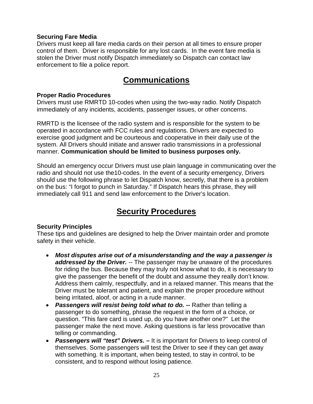#### **Securing Fare Media**

Drivers must keep all fare media cards on their person at all times to ensure proper control of them. Driver is responsible for any lost cards. In the event fare media is stolen the Driver must notify Dispatch immediately so Dispatch can contact law enforcement to file a police report.

## **Communications**

#### **Proper Radio Procedures**

Drivers must use RMRTD 10-codes when using the two-way radio. Notify Dispatch immediately of any incidents, accidents, passenger issues, or other concerns.

RMRTD is the licensee of the radio system and is responsible for the system to be operated in accordance with FCC rules and regulations. Drivers are expected to exercise good judgment and be courteous and cooperative in their daily use of the system. All Drivers should initiate and answer radio transmissions in a professional manner. **Communication should be limited to business purposes only.**

Should an emergency occur Drivers must use plain language in communicating over the radio and should not use the10-codes. In the event of a security emergency, Drivers should use the following phrase to let Dispatch know, secretly, that there is a problem on the bus: "I forgot to punch in Saturday." If Dispatch hears this phrase, they will immediately call 911 and send law enforcement to the Driver's location.

## **Security Procedures**

#### **Security Principles**

These tips and guidelines are designed to help the Driver maintain order and promote safety in their vehicle.

- *Most disputes arise out of a misunderstanding and the way a passenger is addressed by the Driver. --* The passenger may be unaware of the procedures for riding the bus. Because they may truly not know what to do, it is necessary to give the passenger the benefit of the doubt and assume they really don't know. Address them calmly, respectfully, and in a relaxed manner. This means that the Driver must be tolerant and patient, and explain the proper procedure without being irritated, aloof, or acting in a rude manner.
- *Passengers will resist being told what to do. --* Rather than telling a passenger to do something, phrase the request in the form of a choice, or question. "This fare card is used up, do you have another one?" Let the passenger make the next move. Asking questions is far less provocative than telling or commanding.
- **Passengers will "test" Drivers.** It is important for Drivers to keep control of themselves. Some passengers will test the Driver to see if they can get away with something. It is important, when being tested, to stay in control, to be consistent, and to respond without losing patience.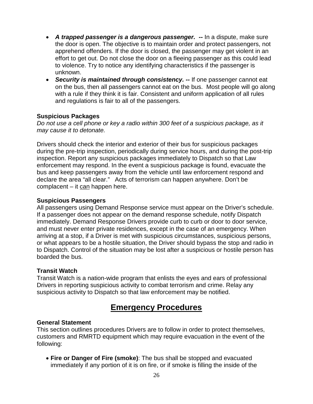- *A trapped passenger is a dangerous passenger. --* In a dispute, make sure the door is open. The objective is to maintain order and protect passengers, not apprehend offenders. If the door is closed, the passenger may get violent in an effort to get out. Do not close the door on a fleeing passenger as this could lead to violence. Try to notice any identifying characteristics if the passenger is unknown.
- *Security is maintained through consistency. --* If one passenger cannot eat on the bus, then all passengers cannot eat on the bus. Most people will go along with a rule if they think it is fair. Consistent and uniform application of all rules and regulations is fair to all of the passengers.

#### **Suspicious Packages**

*Do not use a cell phone or key a radio within 300 feet of a suspicious package, as it may cause it to detonate.*

Drivers should check the interior and exterior of their bus for suspicious packages during the pre-trip inspection, periodically during service hours, and during the post-trip inspection. Report any suspicious packages immediately to Dispatch so that Law enforcement may respond. In the event a suspicious package is found, evacuate the bus and keep passengers away from the vehicle until law enforcement respond and declare the area "all clear." Acts of terrorism can happen anywhere. Don't be complacent – it can happen here.

#### **Suspicious Passengers**

All passengers using Demand Response service must appear on the Driver's schedule. If a passenger does not appear on the demand response schedule, notify Dispatch immediately. Demand Response Drivers provide curb to curb or door to door service, and must never enter private residences, except in the case of an emergency. When arriving at a stop, if a Driver is met with suspicious circumstances, suspicious persons, or what appears to be a hostile situation, the Driver should bypass the stop and radio in to Dispatch. Control of the situation may be lost after a suspicious or hostile person has boarded the bus.

#### **Transit Watch**

Transit Watch is a nation-wide program that enlists the eyes and ears of professional Drivers in reporting suspicious activity to combat terrorism and crime. Relay any suspicious activity to Dispatch so that law enforcement may be notified.

## **Emergency Procedures**

#### **General Statement**

This section outlines procedures Drivers are to follow in order to protect themselves, customers and RMRTD equipment which may require evacuation in the event of the following:

• **Fire or Danger of Fire (smoke)**: The bus shall be stopped and evacuated immediately if any portion of it is on fire, or if smoke is filling the inside of the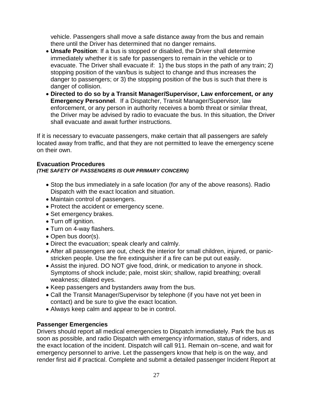vehicle. Passengers shall move a safe distance away from the bus and remain there until the Driver has determined that no danger remains.

- **Unsafe Position**: If a bus is stopped or disabled, the Driver shall determine immediately whether it is safe for passengers to remain in the vehicle or to evacuate. The Driver shall evacuate if: 1) the bus stops in the path of any train; 2) stopping position of the van/bus is subject to change and thus increases the danger to passengers; or 3) the stopping position of the bus is such that there is danger of collision.
- **Directed to do so by a Transit Manager/Supervisor, Law enforcement, or any Emergency Personnel**. If a Dispatcher, Transit Manager/Supervisor, law enforcement, or any person in authority receives a bomb threat or similar threat, the Driver may be advised by radio to evacuate the bus. In this situation, the Driver shall evacuate and await further instructions.

If it is necessary to evacuate passengers, make certain that all passengers are safely located away from traffic, and that they are not permitted to leave the emergency scene on their own.

#### **Evacuation Procedures** *(THE SAFETY OF PASSENGERS IS OUR PRIMARY CONCERN)*

- Stop the bus immediately in a safe location (for any of the above reasons). Radio Dispatch with the exact location and situation.
- Maintain control of passengers.
- Protect the accident or emergency scene.
- Set emergency brakes.
- Turn off ignition.
- Turn on 4-way flashers.
- Open bus door(s).
- Direct the evacuation; speak clearly and calmly.
- After all passengers are out, check the interior for small children, injured, or panicstricken people. Use the fire extinguisher if a fire can be put out easily.
- Assist the injured. DO NOT give food, drink, or medication to anyone in shock. Symptoms of shock include; pale, moist skin; shallow, rapid breathing; overall weakness; dilated eyes.
- Keep passengers and bystanders away from the bus.
- Call the Transit Manager/Supervisor by telephone (if you have not yet been in contact) and be sure to give the exact location.
- Always keep calm and appear to be in control.

#### **Passenger Emergencies**

Drivers should report all medical emergencies to Dispatch immediately. Park the bus as soon as possible, and radio Dispatch with emergency information, status of riders, and the exact location of the incident. Dispatch will call 911. Remain on–scene, and wait for emergency personnel to arrive. Let the passengers know that help is on the way, and render first aid if practical. Complete and submit a detailed passenger Incident Report at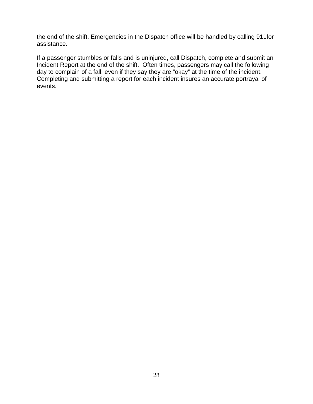the end of the shift. Emergencies in the Dispatch office will be handled by calling 911for assistance.

If a passenger stumbles or falls and is uninjured, call Dispatch, complete and submit an Incident Report at the end of the shift. Often times, passengers may call the following day to complain of a fall, even if they say they are "okay" at the time of the incident. Completing and submitting a report for each incident insures an accurate portrayal of events.